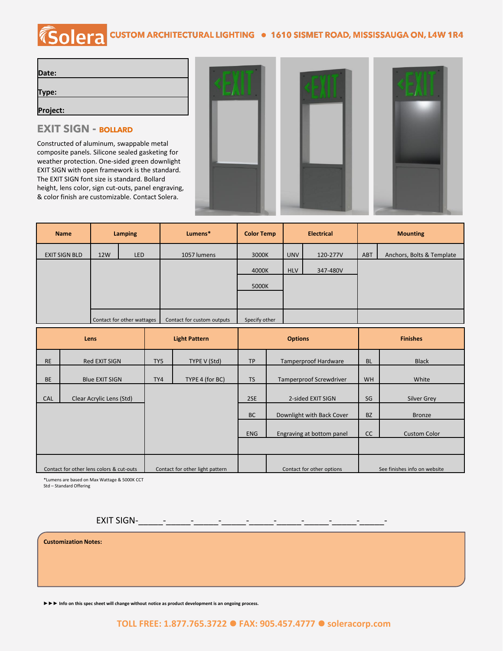## *Solera* **CUSTOM ARCHITECTURAL LIGHTING · 1610 SISMET ROAD, MISSISSAUGA ON, L4W 1R4**

| Date:    |  |  |
|----------|--|--|
|          |  |  |
| Type:    |  |  |
|          |  |  |
| Project: |  |  |

## **EXIT SIGN - BOLLARD**

Constructed of aluminum, swappable metal composite panels. Silicone sealed gasketing for weather protection. One-sided green downlight EXIT SIGN with open framework is the standard. The EXIT SIGN font size is standard. Bollard height, lens color, sign cut-outs, panel engraving, & color finish are customizable. Contact Solera.

|                            | <b>Name</b>          |     | <b>Lamping</b>             |                      | Lumens*     | <b>Color Temp</b> |  | <b>Electrical</b>      |          | <b>Mounting</b> |                           |
|----------------------------|----------------------|-----|----------------------------|----------------------|-------------|-------------------|--|------------------------|----------|-----------------|---------------------------|
|                            | <b>EXIT SIGN BLD</b> | 12W | <b>LED</b>                 |                      | 1057 lumens | 3000K             |  | <b>UNV</b><br>120-277V |          | ABT             | Anchors, Bolts & Template |
|                            |                      |     |                            |                      |             | 4000K             |  | <b>HLV</b>             | 347-480V |                 |                           |
|                            |                      |     |                            | 5000K                |             |                   |  |                        |          |                 |                           |
|                            |                      |     |                            |                      |             |                   |  |                        |          |                 |                           |
| Contact for other wattages |                      |     | Contact for custom outputs | Specify other        |             |                   |  |                        |          |                 |                           |
| Lens                       |                      |     |                            | <b>Light Pattern</b> |             | <b>Options</b>    |  | <b>Finishes</b>        |          |                 |                           |
|                            |                      |     |                            |                      |             |                   |  |                        |          |                 |                           |

|                                                                             | ----                     | <b>EXECUTIVE CONVENTION</b> |                 | V                         |                                |                              | .                   |  |
|-----------------------------------------------------------------------------|--------------------------|-----------------------------|-----------------|---------------------------|--------------------------------|------------------------------|---------------------|--|
| <b>RE</b>                                                                   | Red EXIT SIGN            | TY5                         | TYPE V (Std)    | <b>TP</b>                 | <b>Tamperproof Hardware</b>    | <b>BL</b>                    | <b>Black</b>        |  |
| <b>BE</b>                                                                   | <b>Blue EXIT SIGN</b>    | TY4                         | TYPE 4 (for BC) | <b>TS</b>                 | <b>Tamperproof Screwdriver</b> | <b>WH</b>                    | White               |  |
| <b>CAL</b>                                                                  | Clear Acrylic Lens (Std) |                             |                 | 2SE                       | 2-sided EXIT SIGN              | SG                           | Silver Grey         |  |
|                                                                             |                          |                             |                 | <b>BC</b>                 | Downlight with Back Cover      | <b>BZ</b>                    | <b>Bronze</b>       |  |
|                                                                             |                          |                             |                 | <b>ENG</b>                | Engraving at bottom panel      | CC                           | <b>Custom Color</b> |  |
|                                                                             |                          |                             |                 |                           |                                |                              |                     |  |
| Contact for other lens colors & cut-outs<br>Contact for other light pattern |                          |                             |                 | Contact for other options |                                | See finishes info on website |                     |  |

\*Lumens are based on Max Wattage & 5000K CCT

 $\overline{\phantom{a}}$ 

Std – Standard Offering

 $EXIT$  SIGN-Q  $-$ 

**Customization Notes:**

**►►► Info on this spec sheet will change without notice as product development is an ongoing process.**